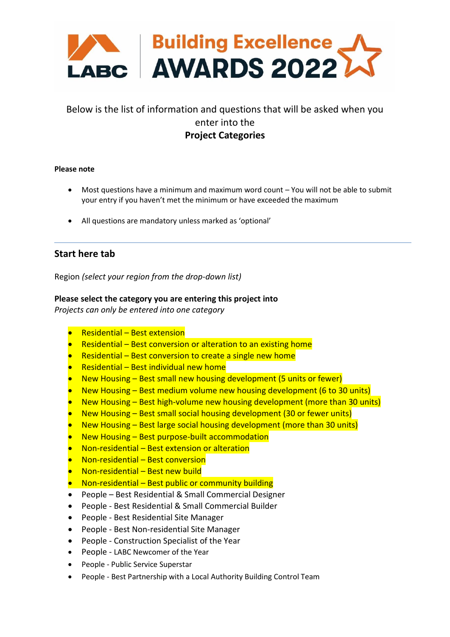

# Below is the list of information and questions that will be asked when you enter into the **Project Categories**

#### **Please note**

- Most questions have a minimum and maximum word count You will not be able to submit your entry if you haven't met the minimum or have exceeded the maximum
- All questions are mandatory unless marked as 'optional'

# **Start here tab**

Region *(select your region from the drop-down list)*

## **Please select the category you are entering this project into**

*Projects can only be entered into one category*

- Residential Best extension
- Residential Best conversion or alteration to an existing home
- Residential Best conversion to create a single new home
- Residential Best individual new home
- New Housing Best small new housing development (5 units or fewer)
- New Housing Best medium volume new housing development (6 to 30 units)
- New Housing Best high-volume new housing development (more than 30 units)
- New Housing Best small social housing development (30 or fewer units)
- New Housing Best large social housing development (more than 30 units)
- New Housing Best purpose-built accommodation
- Non-residential Best extension or alteration
- Non-residential Best conversion
- Non-residential Best new build
- Non-residential Best public or community building
- People Best Residential & Small Commercial Designer
- People Best Residential & Small Commercial Builder
- People Best Residential Site Manager
- People Best Non-residential Site Manager
- People Construction Specialist of the Year
- People LABC Newcomer of the Year
- People Public Service Superstar
- People Best Partnership with a Local Authority Building Control Team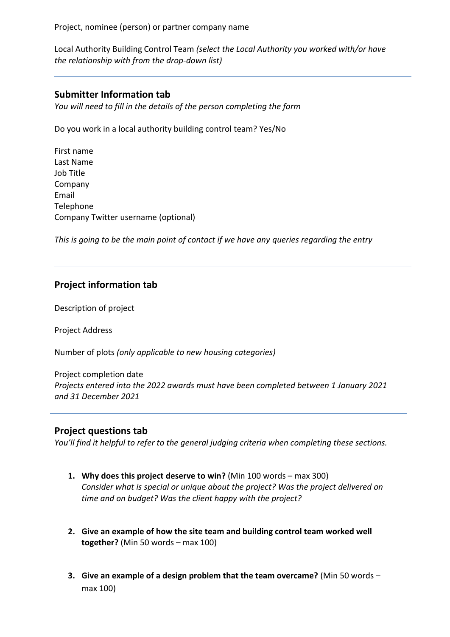Project, nominee (person) or partner company name

Local Authority Building Control Team *(select the Local Authority you worked with/or have the relationship with from the drop-down list)*

# **Submitter Information tab**

*You will need to fill in the details of the person completing the form*

Do you work in a local authority building control team? Yes/No

First name Last Name Job Title Company Email Telephone Company Twitter username (optional)

*This is going to be the main point of contact if we have any queries regarding the entry*

# **Project information tab**

Description of project

Project Address

Number of plots *(only applicable to new housing categories)*

Project completion date *Projects entered into the 2022 awards must have been completed between 1 January 2021 and 31 December 2021*

# **Project questions tab**

*You'll find it helpful to refer to the general judging criteria when completing these sections.*

- **1. Why does this project deserve to win?** (Min 100 words max 300) *Consider what is special or unique about the project? Was the project delivered on time and on budget? Was the client happy with the project?*
- **2. Give an example of how the site team and building control team worked well together?** (Min 50 words – max 100)
- **3. Give an example of a design problem that the team overcame?** (Min 50 words max 100)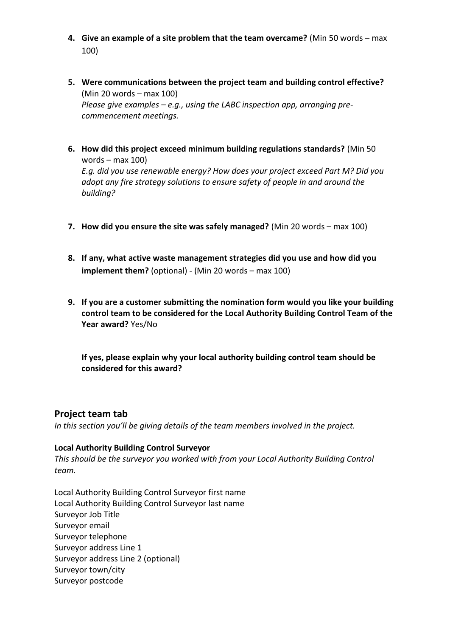- **4. Give an example of a site problem that the team overcame?** (Min 50 words max 100)
- **5. Were communications between the project team and building control effective?** (Min 20 words – max 100) *Please give examples – e.g., using the LABC inspection app, arranging precommencement meetings.*
- **6. How did this project exceed minimum building regulations standards?** (Min 50 words – max 100)

*E.g. did you use renewable energy? How does your project exceed Part M? Did you adopt any fire strategy solutions to ensure safety of people in and around the building?*

- **7. How did you ensure the site was safely managed?** (Min 20 words max 100)
- **8. If any, what active waste management strategies did you use and how did you implement them?** (optional) - (Min 20 words – max 100)
- **9. If you are a customer submitting the nomination form would you like your building control team to be considered for the Local Authority Building Control Team of the Year award?** Yes/No

**If yes, please explain why your local authority building control team should be considered for this award?**

# **Project team tab**

In this section you'll be giving details of the team members involved in the project.

## **Local Authority Building Control Surveyor**

*This should be the surveyor you worked with from your Local Authority Building Control team.*

Local Authority Building Control Surveyor first name Local Authority Building Control Surveyor last name Surveyor Job Title Surveyor email Surveyor telephone Surveyor address Line 1 Surveyor address Line 2 (optional) Surveyor town/city Surveyor postcode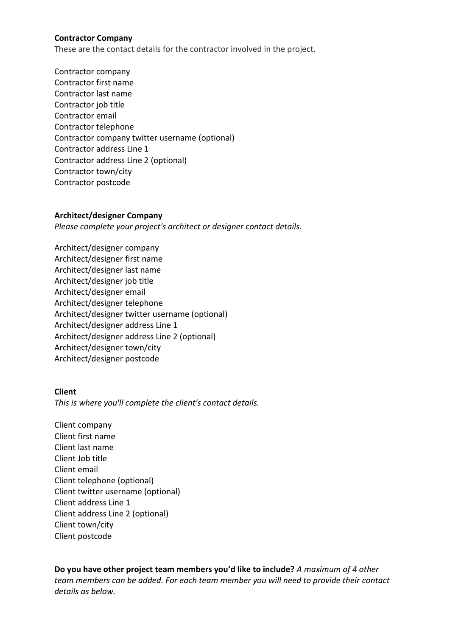#### **Contractor Company**

These are the contact details for the contractor involved in the project.

Contractor company Contractor first name Contractor last name Contractor job title Contractor email Contractor telephone Contractor company twitter username (optional) Contractor address Line 1 Contractor address Line 2 (optional) Contractor town/city Contractor postcode

#### **Architect/designer Company**

*Please complete your project's architect or designer contact details.*

Architect/designer company Architect/designer first name Architect/designer last name Architect/designer job title Architect/designer email Architect/designer telephone Architect/designer twitter username (optional) Architect/designer address Line 1 Architect/designer address Line 2 (optional) Architect/designer town/city Architect/designer postcode

## **Client**

*This is where you'll complete the client's contact details.* 

Client company Client first name Client last name Client Job title Client email Client telephone (optional) Client twitter username (optional) Client address Line 1 Client address Line 2 (optional) Client town/city Client postcode

**Do you have other project team members you'd like to include?** *A maximum of 4 other team members can be added. For each team member you will need to provide their contact details as below.*